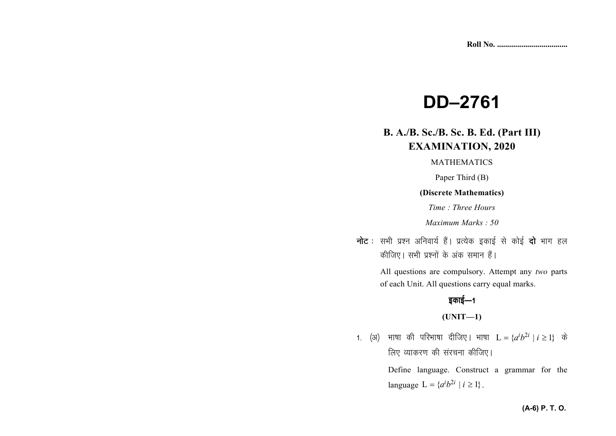# **DD–2761**

## **B. A./B. Sc./B. Sc. B. Ed. (Part III)EXAMINATION, 2020**

MATHEMATICS

Paper Third (B)

#### **(Discrete Mathematics)**

*Time : Three Hours* 

*Maximum Marks : 50* 

**नोट** : सभी प्रश्न अनिवार्य हैं। प्रत्येक इकाई से कोई **दो** भाग हल *dhft,A lHkh iz'uksa d¢ vad leku gSaA* 

> All questions are compulsory. Attempt any *two* parts of each Unit. All questions carry equal marks.

## *bdkbZ*&*<sup>1</sup>*

### **(UNIT—1)**

*1.* (अ) भाषा की परिभाषा दीजिए। भाषा  $L = \{a^i b^{2i} | i \ge 1\}$  के *लिए व्याकरण की संरचना कीजिए* ।

> Define language. Construct a grammar for the language  $L = \{a^{i}b^{2i} | i \geq 1\}$ .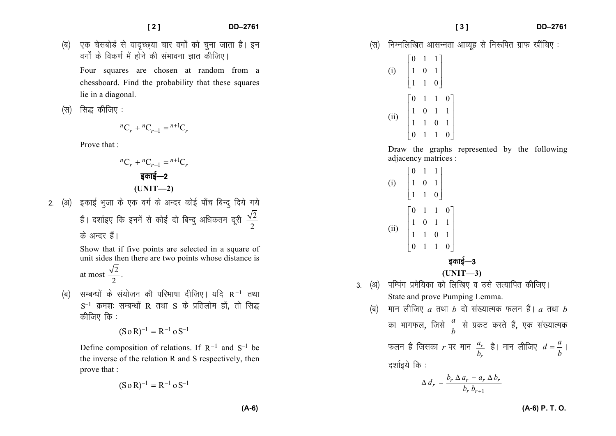- *¼c½ ,d pslcksMZ ls ;kn`PN~;k pkj oxks± dks pquk tkrk gSA bu oxks± ds fod.kZ eas gksus dh laHkkouk Kkr dhft,A* Four squares are chosen at random from a chessboard. Find the probability that these squareslie in a diagonal.
- *(स)* सिद्ध कीजिए :

$$
{}^{n}C_{r} + {}^{n}C_{r-1} = {}^{n+1}C_{r}
$$

Prove that :

$$
{}^{n}C_{r} + {}^{n}C_{r-1} = {}^{n+1}C_{r}
$$
  
इकाई-2  
(UNIT-2)

2. (अ) इकाई भुजा के एक वर्ग के अन्दर कोई पाँच बिन्दु दिये गये हैं। दर्शाइए कि इनमें से कोई दो बिन्दु अधिकतम दूरी  $\frac{\sqrt{2}}{2}$  $\frac{12}{2}$ *के* अन्दर हैं।

> Show that if five points are selected in a square of unit sides then there are two points whose distance is  $\sqrt{2}$

at most 
$$
\frac{\sqrt{2}}{2}
$$
.

*(*ब) सम्बन्धों के संयोजन की परिभाषा दीजिए । यदि R<sup>−1</sup> तथा  $\rm S^{-1}$  क्रमशः सम्बन्धों R तथा S के प्रतिलोम हों, तो सिद्ध कीजिए कि :

$$
(S \circ R)^{-1} = R^{-1} \circ S^{-1}
$$

Define composition of relations. If  $R^{-1}$  and  $S^{-1}$  be the inverse of the relation R and S respectively, then prove that :

$$
(S \circ R)^{-1} = R^{-1} \circ S^{-1}
$$

*¼l½ fuEufyf[kr vklUurk vkO;wg ls fu:fir xzkQ [khafp, %* 

(i) 
$$
\begin{bmatrix} 0 & 1 & 1 \\ 1 & 0 & 1 \\ 1 & 1 & 0 \end{bmatrix}
$$
  
\n(ii) 
$$
\begin{bmatrix} 0 & 1 & 1 & 0 \\ 1 & 0 & 1 & 1 \\ 1 & 1 & 0 & 1 \\ 0 & 1 & 1 & 0 \end{bmatrix}
$$

*¼c½ eku yhft,* 

Draw the graphs represented by the following adjacency matrices :

(i) <sup>0</sup> <sup>1</sup> <sup>1</sup> <sup>1</sup> <sup>0</sup> <sup>1</sup> <sup>1</sup> <sup>1</sup> <sup>0</sup> (ii) <sup>0</sup> <sup>1</sup> <sup>1</sup> <sup>0</sup> <sup>1</sup> <sup>0</sup> <sup>1</sup> <sup>1</sup> <sup>1</sup> <sup>1</sup> <sup>0</sup> <sup>1</sup> <sup>0</sup> <sup>1</sup> <sup>1</sup> <sup>0</sup> *bdkbZ*&*<sup>3</sup>***(UNIT—3)** *3- ¼v½ ifEiax izesf;dk dks fyf[k, o mls lR;kfir dhft,A* State and prove Pumping Lemma. *a rFkk b nks la[;kRed Qyu gSaA a rFkk bdk HkkxQy*] *ftls ab ls izdV djrs gSa*] *,d la[;kRed Qyu gS ftldk r ij eku rrab gSA eku yhft, adb*= *<sup>A</sup> n'kkZb;s fd %* 1*<sup>r</sup> <sup>r</sup> <sup>b</sup> <sup>b</sup>* <sup>+</sup> *<sup>r</sup> <sup>r</sup> <sup>r</sup> <sup>r</sup> r<sup>b</sup> <sup>a</sup> <sup>a</sup> <sup>b</sup> d*<sup>∆</sup> <sup>−</sup> <sup>∆</sup><sup>∆</sup> <sup>=</sup>

**(A-6) P. T. O.**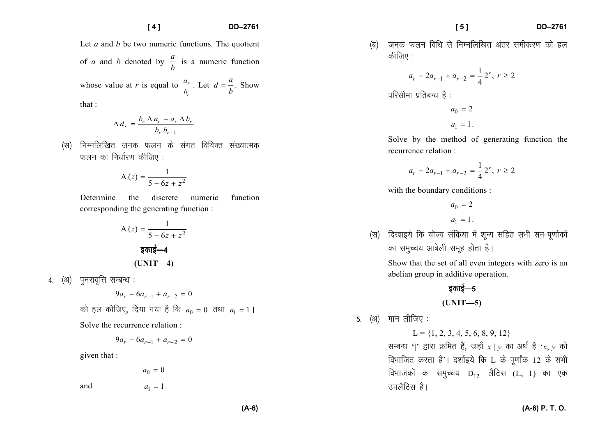#### **[ 4 ] DD–2761**

Let *a* and *b* be two numeric functions. The quotient of *a* and *b* denoted by  $\frac{a}{b}$  is a numeric function

whose value at *r* is equal to  $\frac{a_r}{I}$ *ra b*. Let  $d = \frac{a}{b}$ . Show

that :

$$
\Delta d_r = \frac{b_r \Delta a_r - a_r \Delta b_r}{b_r b_{r+1}}
$$

*(*स) निम्नलिखित जनक फलन के संगत विविक्त संख्यात्मक *फलन का नि*र्धारण कीजिए:

$$
A(z) = \frac{1}{5 - 6z + z^2}
$$

Determine the discrete numeric function corresponding the generating function :

A (z) = 
$$
\frac{1}{5 - 6z + z^2}
$$
  
 ~~§ān§-4~~  
(UNIT-4)

4. (अ) पुनरावृत्ति सम्बन्ध**:** 

$$
9a_r - 6a_{r-1} + a_{r-2} = 0
$$

*dks gy dhft,*] *fn;k x;k gS fd* <sup>0</sup> *<sup>a</sup>* <sup>=</sup> <sup>0</sup> *rFkk* 1*<sup>a</sup>* <sup>=</sup> <sup>1</sup>*<sup>A</sup>*

Solve the recurrence relation :

$$
9a_r - 6a_{r-1} + a_{r-2} = 0
$$

given that :

 $a_0 = 0$ 

and 1*<sup>a</sup>*

$$
a_1=1\,.
$$

*(*ब) जनक फलन विधि से निम्नलिखित अंतर समीकरण को हल *कीजिए :* 

$$
a_r - 2a_{r-1} + a_{r-2} = \frac{1}{4}2^r, r \ge 2
$$

*ifjlhek izfrcU/k gS %* 

 $a_0 = 2$  $a_1 = 1$ .

Solve by the method of generating function the recurrence relation :

$$
a_r - 2a_{r-1} + a_{r-2} = \frac{1}{4} 2^r, r \ge 2
$$

with the boundary conditions :

 $a_0 = 2$  $a_1 = 1$ .

*¼l½ fn[kkb;s fd ;ksT; lafØ;k eas 'kwU; lfgr lHkh le*&*iw.kk±dksa का* समुच्चय आबेली समुह होता है।

Show that the set of all even integers with zero is an abelian group in additive operation.

*bdkbZ*&*<sup>5</sup>*

**(UNIT—5)** 

*5. (अ)* मान लीजिए:

 $L = \{1, 2, 3, 4, 5, 6, 8, 9, 12\}$ 

*R*Hबन्ध '|' द्वारा क्रमित हैं, जहाँ  $x | y$  का अर्थ है 'x,  $y$  को *foHkkftr djrk gS*\**A n'kkZb;s fd* L *ds iw.kk±d* 12 *ds lHkh f*dभाजकों का समुच्चय D<sub>12</sub> लैटिस (L, 1) का एक *miySfVl gSA*